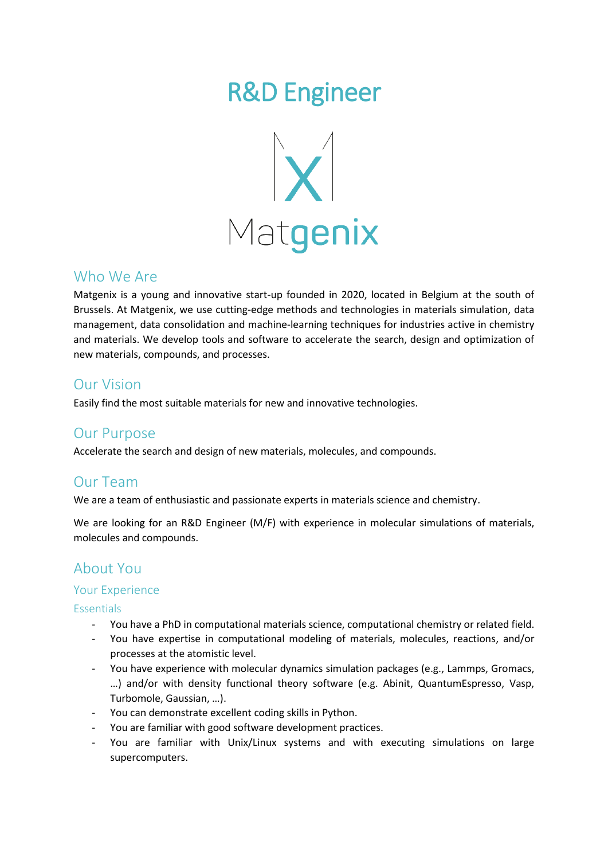# R&D Engineer



## Who We Are

Matgenix is a young and innovative start-up founded in 2020, located in Belgium at the south of Brussels. At Matgenix, we use cutting-edge methods and technologies in materials simulation, data management, data consolidation and machine-learning techniques for industries active in chemistry and materials. We develop tools and software to accelerate the search, design and optimization of new materials, compounds, and processes.

# Our Vision

Easily find the most suitable materials for new and innovative technologies.

## Our Purpose

Accelerate the search and design of new materials, molecules, and compounds.

# Our Team

We are a team of enthusiastic and passionate experts in materials science and chemistry.

We are looking for an R&D Engineer (M/F) with experience in molecular simulations of materials, molecules and compounds.

# About You

#### Your Experience

**Essentials** 

- You have a PhD in computational materials science, computational chemistry or related field.
- You have expertise in computational modeling of materials, molecules, reactions, and/or processes at the atomistic level.
- You have experience with molecular dynamics simulation packages (e.g., Lammps, Gromacs, …) and/or with density functional theory software (e.g. Abinit, QuantumEspresso, Vasp, Turbomole, Gaussian, …).
- You can demonstrate excellent coding skills in Python.
- You are familiar with good software development practices.
- You are familiar with Unix/Linux systems and with executing simulations on large supercomputers.